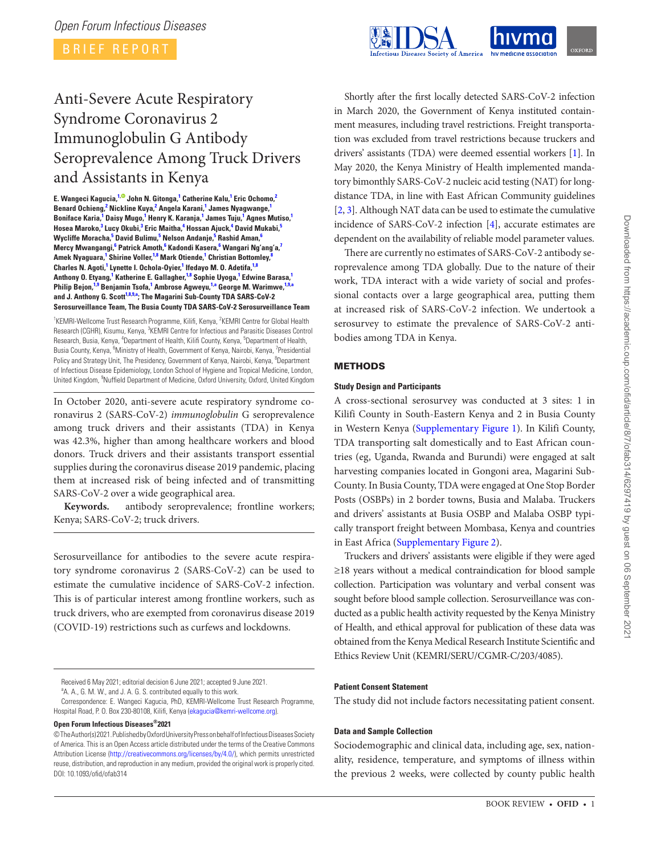BRIEF REPORT



# Anti-Severe Acute Respiratory Syndrome Coronavirus 2 Immunoglobulin G Antibody Seroprevalence Among Truck Drivers and Assistants in Kenya

**E. Wangeci Kagucia, [1](#page-0-0)[, J](https://orcid.org/0000-0002-4481-8889)ohn N. Gitonga, [1](#page-0-0) Catherine Kalu, [1](#page-0-0) Eric Ochomo, [2](#page-0-1) Benard Ochieng, [2](#page-0-1) Nickline Kuya, [2](#page-0-1) Angela Karani, [1](#page-0-0) James Nyagwange, [1](#page-0-0) Boniface Karia, [1](#page-0-0) Daisy Mugo, [1](#page-0-0) Henry K. Karanja, [1](#page-0-0) James Tuju, [1](#page-0-0) Agnes Mutiso, [1](#page-0-0) Hosea Maroko, [3](#page-0-2) Lucy Okubi, [3](#page-0-2) Eric Maitha, [4](#page-0-3) Hossan Ajuck, [4](#page-0-3) David Mukabi, [5](#page-0-4) Wycliffe Moracha, [5](#page-0-4) David Bulimu, [5](#page-0-4) Nelson Andanje, [5](#page-0-4) Rashid Aman, [6](#page-0-5) Mercy Mwangangi, [6](#page-0-5) Patrick Amoth, [6](#page-0-5) Kadondi Kasera, [6](#page-0-5) Wangari Ng'ang'a, [7](#page-0-6) Amek Nyaguara, [1](#page-0-0) Shirine Voller, [1,](#page-0-0)[8](#page-0-7) Mark Otiende, [1](#page-0-0) Christian Bottomley, [8](#page-0-7)** Charles N. Agoti,<sup>[1](#page-0-0)</sup> Lynette I. Ochola-Oyier,<sup>1</sup> Ifedayo M. O. Adetifa,<sup>1[,8](#page-0-7)</sup> **Anthony O. Etyang, [1](#page-0-0) Katherine E. Gallagher, [1,](#page-0-0)[8](#page-0-7) Sophie Uyoga, [1](#page-0-0) Edwine Barasa, [1](#page-0-0)** Philip Bejon,<sup>[1,](#page-0-0)[9](#page-0-8)</sup> Benjamin Tsofa,<sup>[1](#page-0-0)</sup> Ambrose Agweyu,<sup>1[,a](#page-0-9)</sup> George M. Warimwe,<sup>1,[9,](#page-0-8)[a](#page-0-9)</sup> **and J. Anthony G. Scott[1,](#page-0-0)[8,](#page-0-7)[9](#page-0-8)[,a](#page-0-9) ; The Magarini Sub-County TDA SARS-CoV-2 Serosurveillance Team, The Busia County TDA SARS-CoV-2 Serosurveillance Team**

<span id="page-0-7"></span><span id="page-0-6"></span><span id="page-0-5"></span><span id="page-0-4"></span><span id="page-0-3"></span><span id="page-0-2"></span><span id="page-0-1"></span><span id="page-0-0"></span><sup>1</sup>KEMRI-Wellcome Trust Research Programme, Kilifi, Kenya, <sup>2</sup>KEMRI Centre for Global Health Research (CGHR), Kisumu, Kenya, <sup>3</sup>KEMRI Centre for Infectious and Parasitic Diseases Control Research, Busia, Kenya, <sup>4</sup>Department of Health, Kilifi County, Kenya, <sup>5</sup>Department of Health, Busia County, Kenya, <sup>6</sup>Ministry of Health, Government of Kenya, Nairobi, Kenya, <sup>7</sup>Presidential Policy and Strategy Unit, The Presidency, Government of Kenya, Nairobi, Kenya, <sup>8</sup>Department of Infectious Disease Epidemiology, London School of Hygiene and Tropical Medicine, London, United Kingdom, <sup>9</sup>Nuffield Department of Medicine, Oxford University, Oxford, United Kingdom

<span id="page-0-8"></span>In October 2020, anti-severe acute respiratory syndrome coronavirus 2 (SARS-CoV-2) *immunoglobulin* G seroprevalence among truck drivers and their assistants (TDA) in Kenya was 42.3%, higher than among healthcare workers and blood donors. Truck drivers and their assistants transport essential supplies during the coronavirus disease 2019 pandemic, placing them at increased risk of being infected and of transmitting SARS-CoV-2 over a wide geographical area.

**Keywords.** antibody seroprevalence; frontline workers; Kenya; SARS-CoV-2; truck drivers.

Serosurveillance for antibodies to the severe acute respiratory syndrome coronavirus 2 (SARS-CoV-2) can be used to estimate the cumulative incidence of SARS-CoV-2 infection. This is of particular interest among frontline workers, such as truck drivers, who are exempted from coronavirus disease 2019 (COVID-19) restrictions such as curfews and lockdowns.

Received 6 May 2021; editorial decision 6 June 2021; accepted 9 June 2021.

<span id="page-0-9"></span><sup>a</sup>A. A., G. M. W., and J. A. G. S. contributed equally to this work.

Correspondence: E. Wangeci Kagucia, PhD, KEMRI-Wellcome Trust Research Programme, Hospital Road, P. O. Box 230-80108, Kilifi, Kenya ([ekagucia@kemri-wellcome.org](mailto:ekagucia@kemri-wellcome.org?subject=)).

**Open Forum Infectious Diseases®2021**

Shortly after the first locally detected SARS-CoV-2 infection in March 2020, the Government of Kenya instituted containment measures, including travel restrictions. Freight transportation was excluded from travel restrictions because truckers and drivers' assistants (TDA) were deemed essential workers [\[1\]](#page-3-0). In May 2020, the Kenya Ministry of Health implemented mandatory bimonthly SARS-CoV-2 nucleic acid testing (NAT) for longdistance TDA, in line with East African Community guidelines [\[2,](#page-3-1) [3\]](#page-3-2). Although NAT data can be used to estimate the cumulative incidence of SARS-CoV-2 infection [\[4\]](#page-3-3), accurate estimates are dependent on the availability of reliable model parameter values.

There are currently no estimates of SARS-CoV-2 antibody seroprevalence among TDA globally. Due to the nature of their work, TDA interact with a wide variety of social and professional contacts over a large geographical area, putting them at increased risk of SARS-CoV-2 infection. We undertook a serosurvey to estimate the prevalence of SARS-CoV-2 antibodies among TDA in Kenya.

# **METHODS**

# **Study Design and Participants**

A cross-sectional serosurvey was conducted at 3 sites: 1 in Kilifi County in South-Eastern Kenya and 2 in Busia County in Western Kenya ([Supplementary Figure 1](http://academic.oup.com/ofid/article-lookup/doi/10.1093/ofid/ofab314#supplementary-data)). In Kilifi County, TDA transporting salt domestically and to East African countries (eg, Uganda, Rwanda and Burundi) were engaged at salt harvesting companies located in Gongoni area, Magarini Sub-County. In Busia County, TDA were engaged at One Stop Border Posts (OSBPs) in 2 border towns, Busia and Malaba. Truckers and drivers' assistants at Busia OSBP and Malaba OSBP typically transport freight between Mombasa, Kenya and countries in East Africa [\(Supplementary Figure 2](http://academic.oup.com/ofid/article-lookup/doi/10.1093/ofid/ofab314#supplementary-data)).

Truckers and drivers' assistants were eligible if they were aged ≥18 years without a medical contraindication for blood sample collection. Participation was voluntary and verbal consent was sought before blood sample collection. Serosurveillance was conducted as a public health activity requested by the Kenya Ministry of Health, and ethical approval for publication of these data was obtained from the Kenya Medical Research Institute Scientific and Ethics Review Unit (KEMRI/SERU/CGMR-C/203/4085).

# **Patient Consent Statement**

The study did not include factors necessitating patient consent.

# **Data and Sample Collection**

Sociodemographic and clinical data, including age, sex, nationality, residence, temperature, and symptoms of illness within the previous 2 weeks, were collected by county public health

<sup>©</sup> The Author(s) 2021. Published by Oxford University Press on behalf of Infectious Diseases Society of America. This is an Open Access article distributed under the terms of the Creative Commons Attribution License ([http://creativecommons.org/licenses/by/4.0/\)](http://creativecommons.org/licenses/by/4.0/), which permits unrestricted reuse, distribution, and reproduction in any medium, provided the original work is properly cited. DOI: 10.1093/ofid/ofab314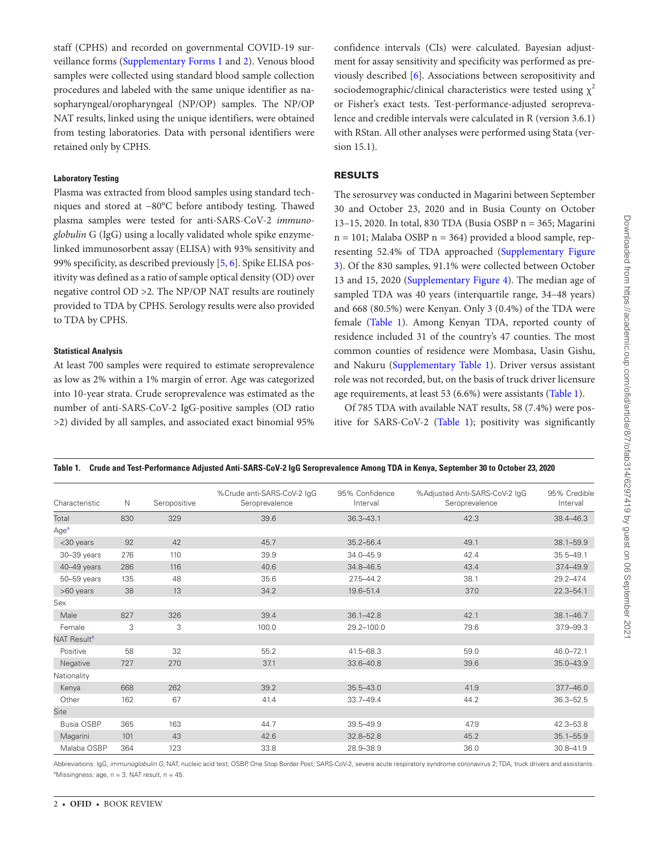staff (CPHS) and recorded on governmental COVID-19 surveillance forms ([Supplementary Forms 1](http://academic.oup.com/ofid/article-lookup/doi/10.1093/ofid/ofab314#supplementary-data) and [2](http://academic.oup.com/ofid/article-lookup/doi/10.1093/ofid/ofab314#supplementary-data)). Venous blood samples were collected using standard blood sample collection procedures and labeled with the same unique identifier as nasopharyngeal/oropharyngeal (NP/OP) samples. The NP/OP NAT results, linked using the unique identifiers, were obtained from testing laboratories. Data with personal identifiers were retained only by CPHS.

# **Laboratory Testing**

Plasma was extracted from blood samples using standard techniques and stored at −80°C before antibody testing. Thawed plasma samples were tested for anti-SARS-CoV-2 *immunoglobulin* G (IgG) using a locally validated whole spike enzymelinked immunosorbent assay (ELISA) with 93% sensitivity and 99% specificity, as described previously [[5](#page-3-4), [6\]](#page-3-5). Spike ELISA positivity was defined as a ratio of sample optical density (OD) over negative control OD >2. The NP/OP NAT results are routinely provided to TDA by CPHS. Serology results were also provided to TDA by CPHS.

# **Statistical Analysis**

At least 700 samples were required to estimate seroprevalence as low as 2% within a 1% margin of error. Age was categorized into 10-year strata. Crude seroprevalence was estimated as the number of anti-SARS-CoV-2 IgG-positive samples (OD ratio >2) divided by all samples, and associated exact binomial 95% confidence intervals (CIs) were calculated. Bayesian adjustment for assay sensitivity and specificity was performed as previously described [[6](#page-3-5)]. Associations between seropositivity and sociodemographic/clinical characteristics were tested using  $\chi^2$ or Fisher's exact tests. Test-performance-adjusted seroprevalence and credible intervals were calculated in R (version 3.6.1) with RStan. All other analyses were performed using Stata (version 15.1).

# RESULTS

The serosurvey was conducted in Magarini between September 30 and October 23, 2020 and in Busia County on October 13–15, 2020. In total, 830 TDA (Busia OSBP n = 365; Magarini  $n = 101$ ; Malaba OSBP  $n = 364$ ) provided a blood sample, representing 52.4% of TDA approached ([Supplementary Figure](http://academic.oup.com/ofid/article-lookup/doi/10.1093/ofid/ofab314#supplementary-data)  [3\)](http://academic.oup.com/ofid/article-lookup/doi/10.1093/ofid/ofab314#supplementary-data). Of the 830 samples, 91.1% were collected between October 13 and 15, 2020 ([Supplementary Figure 4\)](http://academic.oup.com/ofid/article-lookup/doi/10.1093/ofid/ofab314#supplementary-data). The median age of sampled TDA was 40 years (interquartile range, 34–48 years) and 668 (80.5%) were Kenyan. Only 3 (0.4%) of the TDA were female ([Table 1](#page-1-0)). Among Kenyan TDA, reported county of residence included 31 of the country's 47 counties. The most common counties of residence were Mombasa, Uasin Gishu, and Nakuru ([Supplementary Table 1\)](http://academic.oup.com/ofid/article-lookup/doi/10.1093/ofid/ofab314#supplementary-data). Driver versus assistant role was not recorded, but, on the basis of truck driver licensure age requirements, at least 53 (6.6%) were assistants [\(Table 1](#page-1-0)).

Of 785 TDA with available NAT results, 58 (7.4%) were positive for SARS-CoV-2 [\(Table 1\)](#page-1-0); positivity was significantly

| Characteristic          | N   | Seropositive | %Crude anti-SARS-CoV-2 IgG<br>Seroprevalence | 95% Confidence<br>Interval | %Adjusted Anti-SARS-CoV-2 IgG<br>Seroprevalence | 95% Credible<br>Interval |
|-------------------------|-----|--------------|----------------------------------------------|----------------------------|-------------------------------------------------|--------------------------|
| Total                   | 830 | 329          | 39.6                                         | $36.3 - 43.1$              | 42.3                                            | 38.4-46.3                |
| Age <sup>a</sup>        |     |              |                                              |                            |                                                 |                          |
| <30 years               | 92  | 42           | 45.7                                         | $35.2 - 56.4$              | 49.1                                            | $38.1 - 59.9$            |
| 30-39 years             | 276 | 110          | 39.9                                         | $34.0 - 45.9$              | 42.4                                            | $35.5 - 49.1$            |
| $40-49$ years           | 286 | 116          | 40.6                                         | 34.8-46.5                  | 43.4                                            | 37.4-49.9                |
| $50 - 59$ years         | 135 | 48           | 35.6                                         | $27.5 - 44.2$              | 38.1                                            | 29.2-47.4                |
| >60 years               | 38  | 13           | 34.2                                         | 19.6-51.4                  | 37.0                                            | $22.3 - 54.1$            |
| Sex                     |     |              |                                              |                            |                                                 |                          |
| Male                    | 827 | 326          | 39.4                                         | $36.1 - 42.8$              | 42.1                                            | $38.1 - 46.7$            |
| Female                  | 3   | 3            | 100.0                                        | 29.2-100.0                 | 79.6                                            | 379-99.3                 |
| NAT Result <sup>a</sup> |     |              |                                              |                            |                                                 |                          |
| Positive                | 58  | 32           | 55.2                                         | 41.5-68.3                  | 59.0                                            | 46.0-72.1                |
| Negative                | 727 | 270          | 37.1                                         | $33.6 - 40.8$              | 39.6                                            | $35.0 - 43.9$            |
| Nationality             |     |              |                                              |                            |                                                 |                          |
| Kenya                   | 668 | 262          | 39.2                                         | $35.5 - 43.0$              | 41.9                                            | $37.7 - 46.0$            |
| Other                   | 162 | 67           | 41.4                                         | $33.7 - 49.4$              | 44.2                                            | $36.3 - 52.5$            |
| <b>Site</b>             |     |              |                                              |                            |                                                 |                          |
| Busia OSBP              | 365 | 163          | 44.7                                         | $39.5 - 49.9$              | 47.9                                            | 42.3-53.8                |
| Magarini                | 101 | 43           | 42.6                                         | 32.8-52.8                  | 45.2                                            | $35.1 - 55.9$            |
| Malaba OSBP             | 364 | 123          | 33.8                                         | 28.9-38.9                  | 36.0                                            | $30.8 - 41.9$            |

<span id="page-1-0"></span>**Table 1. Crude and Test-Performance Adjusted Anti-SARS-CoV-2 IgG Seroprevalence Among TDA in Kenya, September 30 to October 23, 2020**

<span id="page-1-1"></span>Abbreviations: IgG, *immunoglobulin G*; NAT, nucleic acid test; OSBP, One Stop Border Post; SARS-CoV-2, severe acute respiratory syndrome coronavirus 2; TDA, truck drivers and assistants.  $\textsuperscript{a}$ Missingness: age, n = 3; NAT result, n = 45.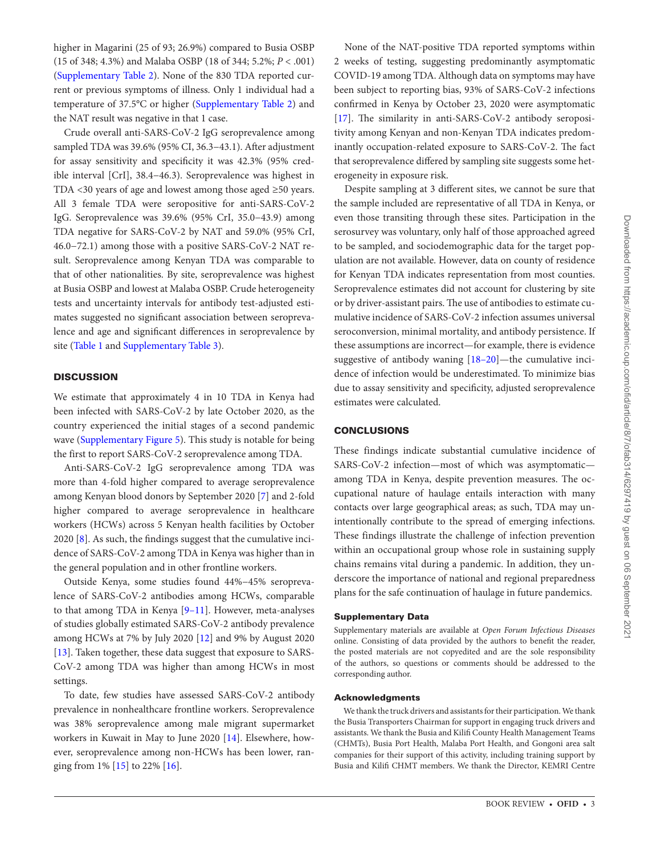higher in Magarini (25 of 93; 26.9%) compared to Busia OSBP (15 of 348; 4.3%) and Malaba OSBP (18 of 344; 5.2%; *P* < .001) [\(Supplementary Table 2\)](http://academic.oup.com/ofid/article-lookup/doi/10.1093/ofid/ofab314#supplementary-data). None of the 830 TDA reported current or previous symptoms of illness. Only 1 individual had a temperature of 37.5°C or higher [\(Supplementary Table 2\)](http://academic.oup.com/ofid/article-lookup/doi/10.1093/ofid/ofab314#supplementary-data) and the NAT result was negative in that 1 case.

Crude overall anti-SARS-CoV-2 IgG seroprevalence among sampled TDA was 39.6% (95% CI, 36.3−43.1). After adjustment for assay sensitivity and specificity it was 42.3% (95% credible interval [CrI], 38.4−46.3). Seroprevalence was highest in TDA <30 years of age and lowest among those aged ≥50 years. All 3 female TDA were seropositive for anti-SARS-CoV-2 IgG. Seroprevalence was 39.6% (95% CrI, 35.0−43.9) among TDA negative for SARS-CoV-2 by NAT and 59.0% (95% CrI, 46.0−72.1) among those with a positive SARS-CoV-2 NAT result. Seroprevalence among Kenyan TDA was comparable to that of other nationalities. By site, seroprevalence was highest at Busia OSBP and lowest at Malaba OSBP. Crude heterogeneity tests and uncertainty intervals for antibody test-adjusted estimates suggested no significant association between seroprevalence and age and significant differences in seroprevalence by site [\(Table 1](#page-1-0) and [Supplementary Table 3\)](http://academic.oup.com/ofid/article-lookup/doi/10.1093/ofid/ofab314#supplementary-data).

# **DISCUSSION**

We estimate that approximately 4 in 10 TDA in Kenya had been infected with SARS-CoV-2 by late October 2020, as the country experienced the initial stages of a second pandemic wave ([Supplementary Figure 5\)](http://academic.oup.com/ofid/article-lookup/doi/10.1093/ofid/ofab314#supplementary-data). This study is notable for being the first to report SARS-CoV-2 seroprevalence among TDA.

Anti-SARS-CoV-2 IgG seroprevalence among TDA was more than 4-fold higher compared to average seroprevalence among Kenyan blood donors by September 2020 [[7](#page-3-6)] and 2-fold higher compared to average seroprevalence in healthcare workers (HCWs) across 5 Kenyan health facilities by October 2020 [[8](#page-3-7)]. As such, the findings suggest that the cumulative incidence of SARS-CoV-2 among TDA in Kenya was higher than in the general population and in other frontline workers.

Outside Kenya, some studies found 44%−45% seroprevalence of SARS-CoV-2 antibodies among HCWs, comparable to that among TDA in Kenya [[9](#page-3-8)[–11\]](#page-3-9). However, meta-analyses of studies globally estimated SARS-CoV-2 antibody prevalence among HCWs at 7% by July 2020 [[12\]](#page-3-10) and 9% by August 2020 [\[13](#page-3-11)]. Taken together, these data suggest that exposure to SARS-CoV-2 among TDA was higher than among HCWs in most settings.

To date, few studies have assessed SARS-CoV-2 antibody prevalence in nonhealthcare frontline workers. Seroprevalence was 38% seroprevalence among male migrant supermarket workers in Kuwait in May to June 2020 [\[14\]](#page-3-12). Elsewhere, however, seroprevalence among non-HCWs has been lower, ranging from 1% [\[15](#page-3-13)] to 22% [\[16](#page-3-14)].

None of the NAT-positive TDA reported symptoms within 2 weeks of testing, suggesting predominantly asymptomatic COVID-19 among TDA. Although data on symptoms may have been subject to reporting bias, 93% of SARS-CoV-2 infections confirmed in Kenya by October 23, 2020 were asymptomatic [\[17](#page-3-15)]. The similarity in anti-SARS-CoV-2 antibody seropositivity among Kenyan and non-Kenyan TDA indicates predominantly occupation-related exposure to SARS-CoV-2. The fact that seroprevalence differed by sampling site suggests some heterogeneity in exposure risk.

Despite sampling at 3 different sites, we cannot be sure that the sample included are representative of all TDA in Kenya, or even those transiting through these sites. Participation in the serosurvey was voluntary, only half of those approached agreed to be sampled, and sociodemographic data for the target population are not available. However, data on county of residence for Kenyan TDA indicates representation from most counties. Seroprevalence estimates did not account for clustering by site or by driver-assistant pairs. The use of antibodies to estimate cumulative incidence of SARS-CoV-2 infection assumes universal seroconversion, minimal mortality, and antibody persistence. If these assumptions are incorrect—for example, there is evidence suggestive of antibody waning [[18](#page-3-16)[–20](#page-3-17)]—the cumulative incidence of infection would be underestimated. To minimize bias due to assay sensitivity and specificity, adjusted seroprevalence estimates were calculated.

## **CONCLUSIONS**

These findings indicate substantial cumulative incidence of SARS-CoV-2 infection—most of which was asymptomatic among TDA in Kenya, despite prevention measures. The occupational nature of haulage entails interaction with many contacts over large geographical areas; as such, TDA may unintentionally contribute to the spread of emerging infections. These findings illustrate the challenge of infection prevention within an occupational group whose role in sustaining supply chains remains vital during a pandemic. In addition, they underscore the importance of national and regional preparedness plans for the safe continuation of haulage in future pandemics.

#### Supplementary Data

Supplementary materials are available at *Open Forum Infectious Diseases* online. Consisting of data provided by the authors to benefit the reader, the posted materials are not copyedited and are the sole responsibility of the authors, so questions or comments should be addressed to the corresponding author.

### Acknowledgments

We thank the truck drivers and assistants for their participation. We thank the Busia Transporters Chairman for support in engaging truck drivers and assistants. We thank the Busia and Kilifi County Health Management Teams (CHMTs), Busia Port Health, Malaba Port Health, and Gongoni area salt companies for their support of this activity, including training support by Busia and Kilifi CHMT members. We thank the Director, KEMRI Centre